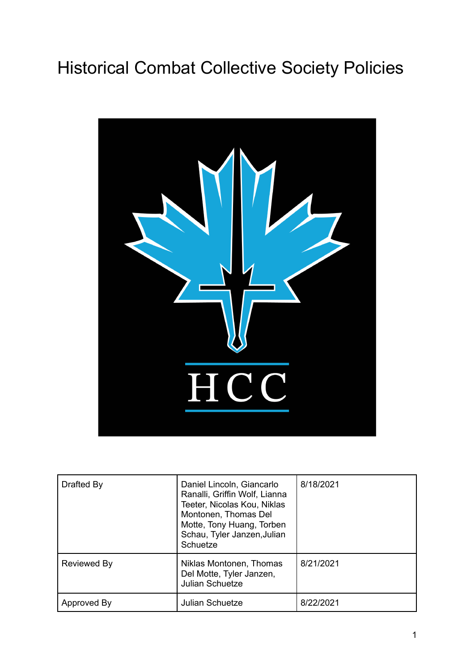# Historical Combat Collective Society Policies



| Drafted By  | Daniel Lincoln, Giancarlo<br>Ranalli, Griffin Wolf, Lianna<br>Teeter, Nicolas Kou, Niklas<br>Montonen, Thomas Del<br>Motte, Tony Huang, Torben<br>Schau, Tyler Janzen, Julian<br>Schuetze | 8/18/2021 |
|-------------|-------------------------------------------------------------------------------------------------------------------------------------------------------------------------------------------|-----------|
| Reviewed By | Niklas Montonen, Thomas<br>Del Motte, Tyler Janzen,<br><b>Julian Schuetze</b>                                                                                                             | 8/21/2021 |
| Approved By | <b>Julian Schuetze</b>                                                                                                                                                                    | 8/22/2021 |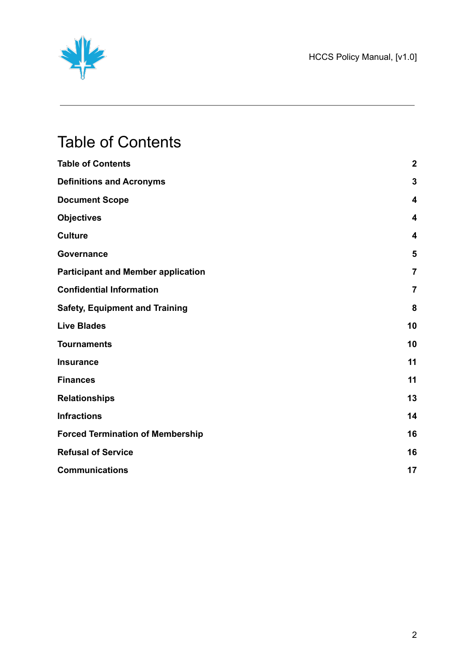

## <span id="page-1-0"></span>Table of Contents

| <b>Table of Contents</b>                  | $\boldsymbol{2}$        |
|-------------------------------------------|-------------------------|
| <b>Definitions and Acronyms</b>           | 3                       |
| <b>Document Scope</b>                     | 4                       |
| <b>Objectives</b>                         | $\overline{\mathbf{4}}$ |
| <b>Culture</b>                            | 4                       |
| Governance                                | 5                       |
| <b>Participant and Member application</b> | $\overline{7}$          |
| <b>Confidential Information</b>           | $\overline{7}$          |
| <b>Safety, Equipment and Training</b>     | 8                       |
| <b>Live Blades</b>                        | 10                      |
| <b>Tournaments</b>                        | 10                      |
| <b>Insurance</b>                          | 11                      |
| <b>Finances</b>                           | 11                      |
| <b>Relationships</b>                      | 13                      |
| <b>Infractions</b>                        | 14                      |
| <b>Forced Termination of Membership</b>   | 16                      |
| <b>Refusal of Service</b>                 | 16                      |
| <b>Communications</b>                     | 17                      |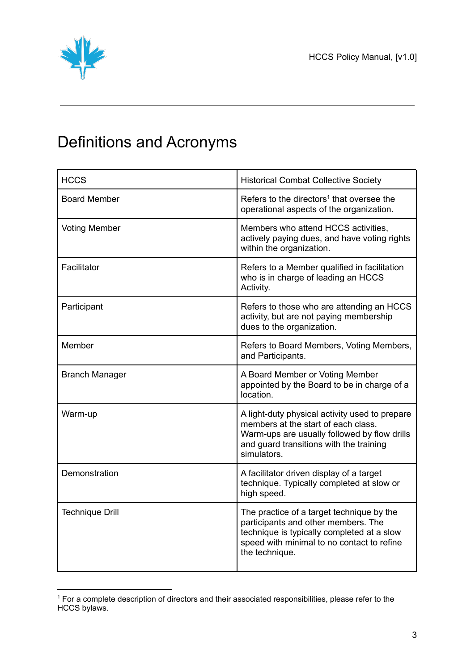

## <span id="page-2-0"></span>Definitions and Acronyms

| <b>HCCS</b>            | <b>Historical Combat Collective Society</b>                                                                                                                                                     |
|------------------------|-------------------------------------------------------------------------------------------------------------------------------------------------------------------------------------------------|
| <b>Board Member</b>    | Refers to the directors <sup>1</sup> that oversee the<br>operational aspects of the organization.                                                                                               |
| <b>Voting Member</b>   | Members who attend HCCS activities,<br>actively paying dues, and have voting rights<br>within the organization.                                                                                 |
| Facilitator            | Refers to a Member qualified in facilitation<br>who is in charge of leading an HCCS<br>Activity.                                                                                                |
| Participant            | Refers to those who are attending an HCCS<br>activity, but are not paying membership<br>dues to the organization.                                                                               |
| Member                 | Refers to Board Members, Voting Members,<br>and Participants.                                                                                                                                   |
| <b>Branch Manager</b>  | A Board Member or Voting Member<br>appointed by the Board to be in charge of a<br>location.                                                                                                     |
| Warm-up                | A light-duty physical activity used to prepare<br>members at the start of each class.<br>Warm-ups are usually followed by flow drills<br>and guard transitions with the training<br>simulators. |
| Demonstration          | A facilitator driven display of a target<br>technique. Typically completed at slow or<br>high speed.                                                                                            |
| <b>Technique Drill</b> | The practice of a target technique by the<br>participants and other members. The<br>technique is typically completed at a slow<br>speed with minimal to no contact to refine<br>the technique.  |

<sup>&</sup>lt;sup>1</sup> For a complete description of directors and their associated responsibilities, please refer to the HCCS bylaws.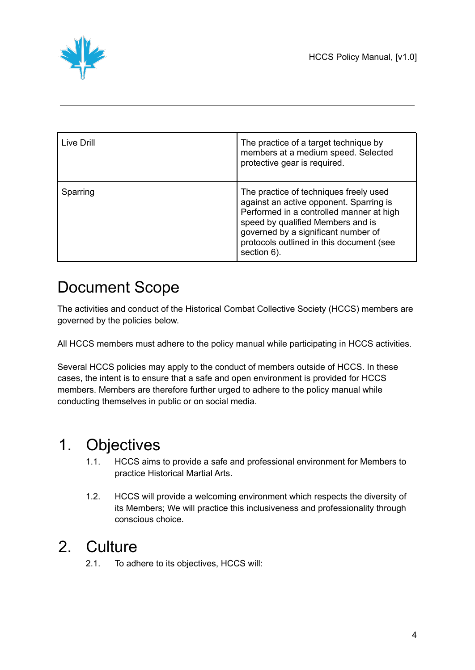

| Live Drill | The practice of a target technique by<br>members at a medium speed. Selected<br>protective gear is required.                                                                                                                                                         |
|------------|----------------------------------------------------------------------------------------------------------------------------------------------------------------------------------------------------------------------------------------------------------------------|
| Sparring   | The practice of techniques freely used<br>against an active opponent. Sparring is<br>Performed in a controlled manner at high<br>speed by qualified Members and is<br>governed by a significant number of<br>protocols outlined in this document (see<br>section 6). |

## <span id="page-3-0"></span>Document Scope

The activities and conduct of the Historical Combat Collective Society (HCCS) members are governed by the policies below.

All HCCS members must adhere to the policy manual while participating in HCCS activities.

Several HCCS policies may apply to the conduct of members outside of HCCS. In these cases, the intent is to ensure that a safe and open environment is provided for HCCS members. Members are therefore further urged to adhere to the policy manual while conducting themselves in public or on social media.

#### <span id="page-3-1"></span>1. Objectives

- 1.1. HCCS aims to provide a safe and professional environment for Members to practice Historical Martial Arts.
- 1.2. HCCS will provide a welcoming environment which respects the diversity of its Members; We will practice this inclusiveness and professionality through conscious choice.

### <span id="page-3-2"></span>2. Culture

2.1. To adhere to its objectives, HCCS will: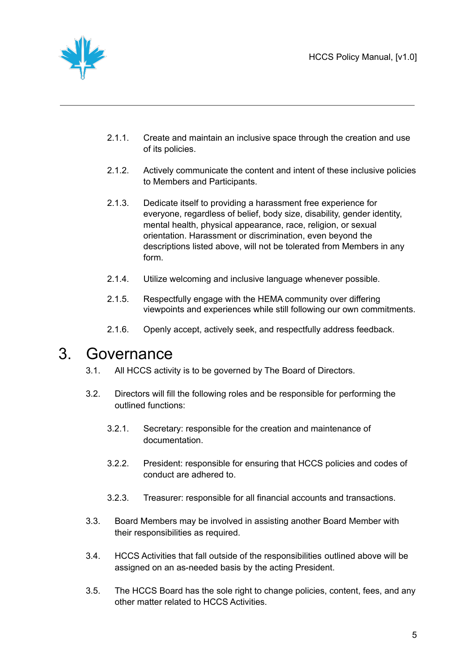

- 2.1.1. Create and maintain an inclusive space through the creation and use of its policies.
- 2.1.2. Actively communicate the content and intent of these inclusive policies to Members and Participants.
- 2.1.3. Dedicate itself to providing a harassment free experience for everyone, regardless of belief, body size, disability, gender identity, mental health, physical appearance, race, religion, or sexual orientation. Harassment or discrimination, even beyond the descriptions listed above, will not be tolerated from Members in any form.
- 2.1.4. Utilize welcoming and inclusive language whenever possible.
- 2.1.5. Respectfully engage with the HEMA community over differing viewpoints and experiences while still following our own commitments.
- 2.1.6. Openly accept, actively seek, and respectfully address feedback.

#### <span id="page-4-0"></span>3. Governance

- 3.1. All HCCS activity is to be governed by The Board of Directors.
- 3.2. Directors will fill the following roles and be responsible for performing the outlined functions:
	- 3.2.1. Secretary: responsible for the creation and maintenance of documentation.
	- 3.2.2. President: responsible for ensuring that HCCS policies and codes of conduct are adhered to.
	- 3.2.3. Treasurer: responsible for all financial accounts and transactions.
- 3.3. Board Members may be involved in assisting another Board Member with their responsibilities as required.
- 3.4. HCCS Activities that fall outside of the responsibilities outlined above will be assigned on an as-needed basis by the acting President.
- 3.5. The HCCS Board has the sole right to change policies, content, fees, and any other matter related to HCCS Activities.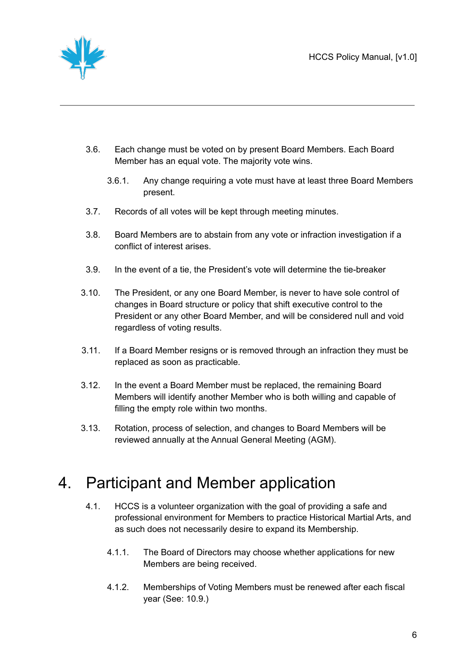

- 3.6. Each change must be voted on by present Board Members. Each Board Member has an equal vote. The majority vote wins.
	- 3.6.1. Any change requiring a vote must have at least three Board Members present.
- 3.7. Records of all votes will be kept through meeting minutes.
- 3.8. Board Members are to abstain from any vote or infraction investigation if a conflict of interest arises.
- 3.9. In the event of a tie, the President's vote will determine the tie-breaker
- 3.10. The President, or any one Board Member, is never to have sole control of changes in Board structure or policy that shift executive control to the President or any other Board Member, and will be considered null and void regardless of voting results.
- 3.11. If a Board Member resigns or is removed through an infraction they must be replaced as soon as practicable.
- 3.12. In the event a Board Member must be replaced, the remaining Board Members will identify another Member who is both willing and capable of filling the empty role within two months.
- 3.13. Rotation, process of selection, and changes to Board Members will be reviewed annually at the Annual General Meeting (AGM).

#### <span id="page-5-0"></span>4. Participant and Member application

- 4.1. HCCS is a volunteer organization with the goal of providing a safe and professional environment for Members to practice Historical Martial Arts, and as such does not necessarily desire to expand its Membership.
	- 4.1.1. The Board of Directors may choose whether applications for new Members are being received.
	- 4.1.2. Memberships of Voting Members must be renewed after each fiscal year (See: 10.9.)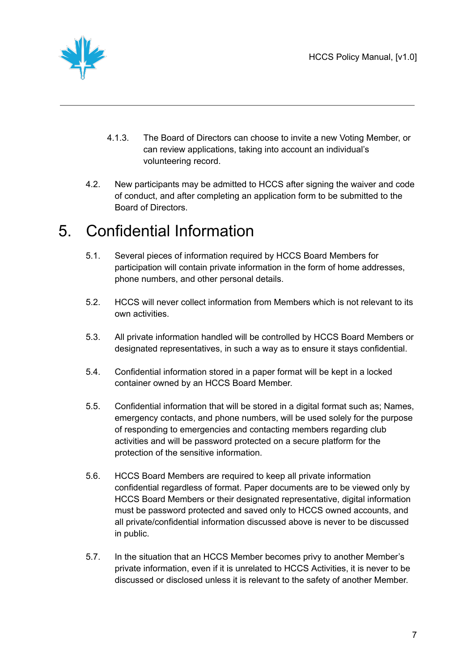

- 4.1.3. The Board of Directors can choose to invite a new Voting Member, or can review applications, taking into account an individual's volunteering record.
- 4.2. New participants may be admitted to HCCS after signing the waiver and code of conduct, and after completing an application form to be submitted to the Board of Directors.

### <span id="page-6-0"></span>5. Confidential Information

- 5.1. Several pieces of information required by HCCS Board Members for participation will contain private information in the form of home addresses, phone numbers, and other personal details.
- 5.2. HCCS will never collect information from Members which is not relevant to its own activities.
- 5.3. All private information handled will be controlled by HCCS Board Members or designated representatives, in such a way as to ensure it stays confidential.
- 5.4. Confidential information stored in a paper format will be kept in a locked container owned by an HCCS Board Member.
- 5.5. Confidential information that will be stored in a digital format such as; Names, emergency contacts, and phone numbers, will be used solely for the purpose of responding to emergencies and contacting members regarding club activities and will be password protected on a secure platform for the protection of the sensitive information.
- 5.6. HCCS Board Members are required to keep all private information confidential regardless of format. Paper documents are to be viewed only by HCCS Board Members or their designated representative, digital information must be password protected and saved only to HCCS owned accounts, and all private/confidential information discussed above is never to be discussed in public.
- 5.7. In the situation that an HCCS Member becomes privy to another Member's private information, even if it is unrelated to HCCS Activities, it is never to be discussed or disclosed unless it is relevant to the safety of another Member.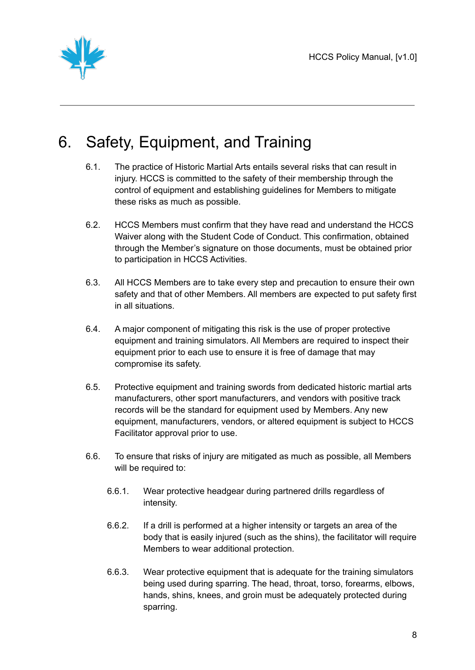

### <span id="page-7-0"></span>6. Safety, Equipment, and Training

- 6.1. The practice of Historic Martial Arts entails several risks that can result in injury. HCCS is committed to the safety of their membership through the control of equipment and establishing guidelines for Members to mitigate these risks as much as possible.
- 6.2. HCCS Members must confirm that they have read and understand the HCCS Waiver along with the Student Code of Conduct. This confirmation, obtained through the Member's signature on those documents, must be obtained prior to participation in HCCS Activities.
- 6.3. All HCCS Members are to take every step and precaution to ensure their own safety and that of other Members. All members are expected to put safety first in all situations.
- 6.4. A major component of mitigating this risk is the use of proper protective equipment and training simulators. All Members are required to inspect their equipment prior to each use to ensure it is free of damage that may compromise its safety.
- 6.5. Protective equipment and training swords from dedicated historic martial arts manufacturers, other sport manufacturers, and vendors with positive track records will be the standard for equipment used by Members. Any new equipment, manufacturers, vendors, or altered equipment is subject to HCCS Facilitator approval prior to use.
- 6.6. To ensure that risks of injury are mitigated as much as possible, all Members will be required to:
	- 6.6.1. Wear protective headgear during partnered drills regardless of intensity.
	- 6.6.2. If a drill is performed at a higher intensity or targets an area of the body that is easily injured (such as the shins), the facilitator will require Members to wear additional protection.
	- 6.6.3. Wear protective equipment that is adequate for the training simulators being used during sparring. The head, throat, torso, forearms, elbows, hands, shins, knees, and groin must be adequately protected during sparring.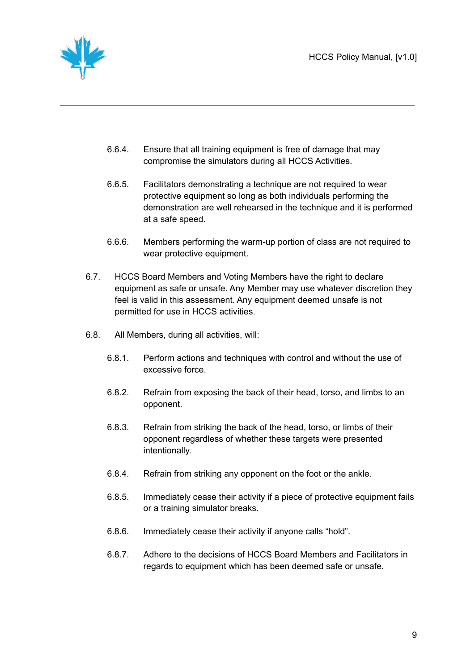

- 6.6.4. Ensure that all training equipment is free of damage that may compromise the simulators during all HCCS Activities.
- 6.6.5. Facilitators demonstrating a technique are not required to wear protective equipment so long as both individuals performing the demonstration are well rehearsed in the technique and it is performed at a safe speed.
- 6.6.6. Members performing the warm-up portion of class are not required to wear protective equipment.
- 6.7. HCCS Board Members and Voting Members have the right to declare equipment as safe or unsafe. Any Member may use whatever discretion they feel is valid in this assessment. Any equipment deemed unsafe is not permitted for use in HCCS activities.
- 6.8. All Members, during all activities, will:
	- 6.8.1. Perform actions and techniques with control and without the use of excessive force.
	- 6.8.2. Refrain from exposing the back of their head, torso, and limbs to an opponent.
	- 6.8.3. Refrain from striking the back of the head, torso, or limbs of their opponent regardless of whether these targets were presented intentionally.
	- 6.8.4. Refrain from striking any opponent on the foot or the ankle.
	- 6.8.5. Immediately cease their activity if a piece of protective equipment fails or a training simulator breaks.
	- 6.8.6. Immediately cease their activity if anyone calls "hold".
	- 6.8.7. Adhere to the decisions of HCCS Board Members and Facilitators in regards to equipment which has been deemed safe or unsafe.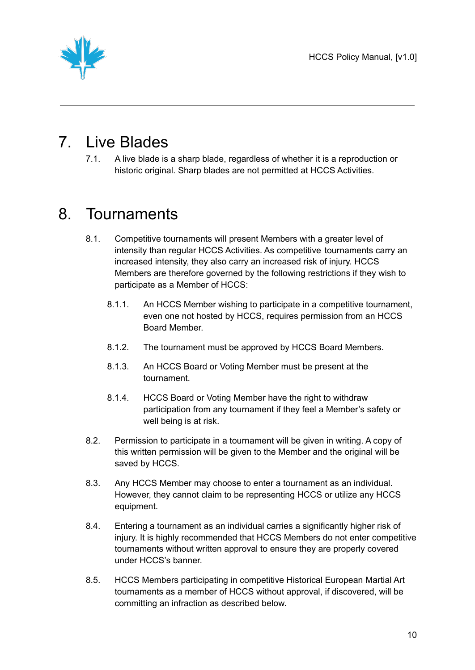

### <span id="page-9-0"></span>7. Live Blades

7.1. A live blade is a sharp blade, regardless of whether it is a reproduction or historic original. Sharp blades are not permitted at HCCS Activities.

#### <span id="page-9-1"></span>8. Tournaments

- 8.1. Competitive tournaments will present Members with a greater level of intensity than regular HCCS Activities. As competitive tournaments carry an increased intensity, they also carry an increased risk of injury. HCCS Members are therefore governed by the following restrictions if they wish to participate as a Member of HCCS:
	- 8.1.1. An HCCS Member wishing to participate in a competitive tournament, even one not hosted by HCCS, requires permission from an HCCS Board Member.
	- 8.1.2. The tournament must be approved by HCCS Board Members.
	- 8.1.3. An HCCS Board or Voting Member must be present at the tournament.
	- 8.1.4. HCCS Board or Voting Member have the right to withdraw participation from any tournament if they feel a Member's safety or well being is at risk.
- 8.2. Permission to participate in a tournament will be given in writing. A copy of this written permission will be given to the Member and the original will be saved by HCCS.
- 8.3. Any HCCS Member may choose to enter a tournament as an individual. However, they cannot claim to be representing HCCS or utilize any HCCS equipment.
- 8.4. Entering a tournament as an individual carries a significantly higher risk of injury. It is highly recommended that HCCS Members do not enter competitive tournaments without written approval to ensure they are properly covered under HCCS's banner.
- 8.5. HCCS Members participating in competitive Historical European Martial Art tournaments as a member of HCCS without approval, if discovered, will be committing an infraction as described below.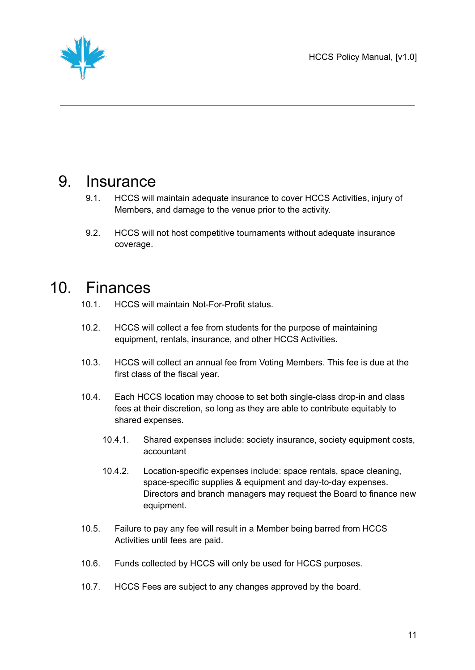HCCS Policy Manual, [v1.0]



#### <span id="page-10-0"></span>9. Insurance

- 9.1. HCCS will maintain adequate insurance to cover HCCS Activities, injury of Members, and damage to the venue prior to the activity.
- 9.2. HCCS will not host competitive tournaments without adequate insurance coverage.

#### <span id="page-10-1"></span>10. Finances

- 10.1. HCCS will maintain Not-For-Profit status.
- 10.2. HCCS will collect a fee from students for the purpose of maintaining equipment, rentals, insurance, and other HCCS Activities.
- 10.3. HCCS will collect an annual fee from Voting Members. This fee is due at the first class of the fiscal year.
- 10.4. Each HCCS location may choose to set both single-class drop-in and class fees at their discretion, so long as they are able to contribute equitably to shared expenses.
	- 10.4.1. Shared expenses include: society insurance, society equipment costs, accountant
	- 10.4.2. Location-specific expenses include: space rentals, space cleaning, space-specific supplies & equipment and day-to-day expenses. Directors and branch managers may request the Board to finance new equipment.
- 10.5. Failure to pay any fee will result in a Member being barred from HCCS Activities until fees are paid.
- 10.6. Funds collected by HCCS will only be used for HCCS purposes.
- 10.7. HCCS Fees are subject to any changes approved by the board.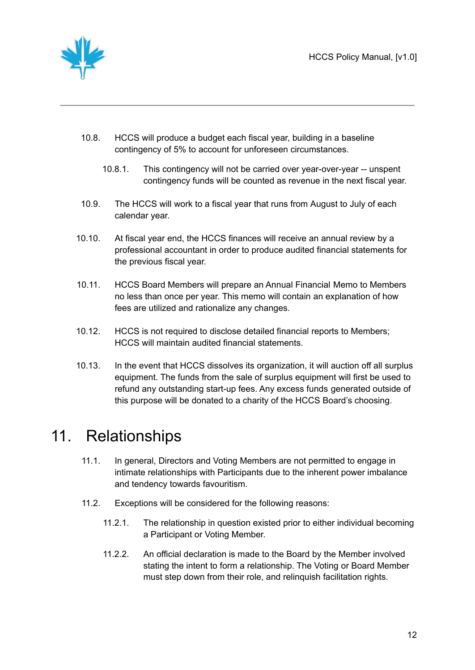

- 10.8. HCCS will produce a budget each fiscal year, building in a baseline contingency of 5% to account for unforeseen circumstances.
	- 10.8.1. This contingency will not be carried over year-over-year -- unspent contingency funds will be counted as revenue in the next fiscal year.
- 10.9. The HCCS will work to a fiscal year that runs from August to July of each calendar year.
- 10.10. At fiscal year end, the HCCS finances will receive an annual review by a professional accountant in order to produce audited financial statements for the previous fiscal year.
- 10.11. HCCS Board Members will prepare an Annual Financial Memo to Members no less than once per year. This memo will contain an explanation of how fees are utilized and rationalize any changes.
- 10.12. HCCS is not required to disclose detailed financial reports to Members; HCCS will maintain audited financial statements.
- 10.13. In the event that HCCS dissolves its organization, it will auction off all surplus equipment. The funds from the sale of surplus equipment will first be used to refund any outstanding start-up fees. Any excess funds generated outside of this purpose will be donated to a charity of the HCCS Board's choosing.

#### <span id="page-11-0"></span>11. Relationships

- 11.1. In general, Directors and Voting Members are not permitted to engage in intimate relationships with Participants due to the inherent power imbalance and tendency towards favouritism.
- 11.2. Exceptions will be considered for the following reasons:
	- 11.2.1. The relationship in question existed prior to either individual becoming a Participant or Voting Member.
	- 11.2.2. An official declaration is made to the Board by the Member involved stating the intent to form a relationship. The Voting or Board Member must step down from their role, and relinquish facilitation rights.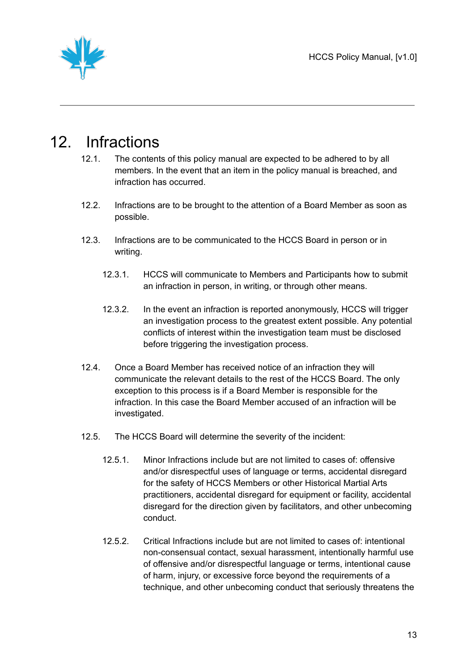

#### <span id="page-12-0"></span>12. Infractions

- 12.1. The contents of this policy manual are expected to be adhered to by all members. In the event that an item in the policy manual is breached, and infraction has occurred.
- 12.2. Infractions are to be brought to the attention of a Board Member as soon as possible.
- 12.3. Infractions are to be communicated to the HCCS Board in person or in writing.
	- 12.3.1. HCCS will communicate to Members and Participants how to submit an infraction in person, in writing, or through other means.
	- 12.3.2. In the event an infraction is reported anonymously, HCCS will trigger an investigation process to the greatest extent possible. Any potential conflicts of interest within the investigation team must be disclosed before triggering the investigation process.
- 12.4. Once a Board Member has received notice of an infraction they will communicate the relevant details to the rest of the HCCS Board. The only exception to this process is if a Board Member is responsible for the infraction. In this case the Board Member accused of an infraction will be investigated.
- 12.5. The HCCS Board will determine the severity of the incident:
	- 12.5.1. Minor Infractions include but are not limited to cases of: offensive and/or disrespectful uses of language or terms, accidental disregard for the safety of HCCS Members or other Historical Martial Arts practitioners, accidental disregard for equipment or facility, accidental disregard for the direction given by facilitators, and other unbecoming conduct.
	- 12.5.2. Critical Infractions include but are not limited to cases of: intentional non-consensual contact, sexual harassment, intentionally harmful use of offensive and/or disrespectful language or terms, intentional cause of harm, injury, or excessive force beyond the requirements of a technique, and other unbecoming conduct that seriously threatens the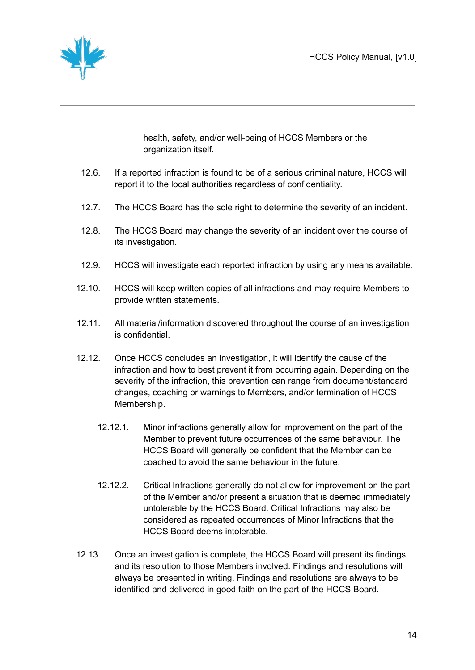

health, safety, and/or well-being of HCCS Members or the organization itself.

- 12.6. If a reported infraction is found to be of a serious criminal nature, HCCS will report it to the local authorities regardless of confidentiality.
- 12.7. The HCCS Board has the sole right to determine the severity of an incident.
- 12.8. The HCCS Board may change the severity of an incident over the course of its investigation.
- 12.9. HCCS will investigate each reported infraction by using any means available.
- 12.10. HCCS will keep written copies of all infractions and may require Members to provide written statements.
- 12.11. All material/information discovered throughout the course of an investigation is confidential.
- 12.12. Once HCCS concludes an investigation, it will identify the cause of the infraction and how to best prevent it from occurring again. Depending on the severity of the infraction, this prevention can range from document/standard changes, coaching or warnings to Members, and/or termination of HCCS Membership.
	- 12.12.1. Minor infractions generally allow for improvement on the part of the Member to prevent future occurrences of the same behaviour. The HCCS Board will generally be confident that the Member can be coached to avoid the same behaviour in the future.
	- 12.12.2. Critical Infractions generally do not allow for improvement on the part of the Member and/or present a situation that is deemed immediately untolerable by the HCCS Board. Critical Infractions may also be considered as repeated occurrences of Minor Infractions that the HCCS Board deems intolerable.
- 12.13. Once an investigation is complete, the HCCS Board will present its findings and its resolution to those Members involved. Findings and resolutions will always be presented in writing. Findings and resolutions are always to be identified and delivered in good faith on the part of the HCCS Board.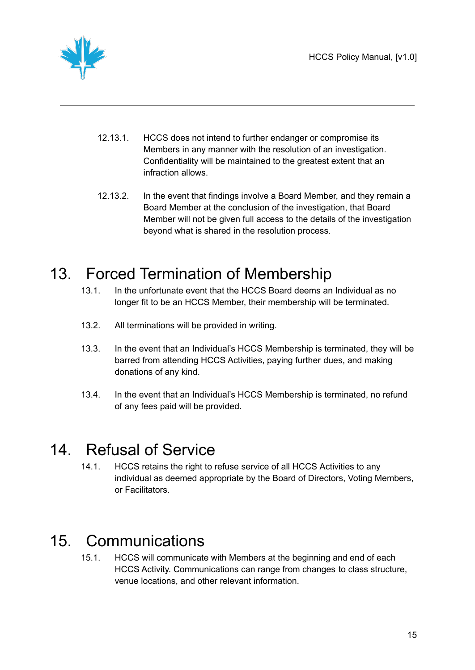

- 12.13.1. HCCS does not intend to further endanger or compromise its Members in any manner with the resolution of an investigation. Confidentiality will be maintained to the greatest extent that an infraction allows.
- 12.13.2. In the event that findings involve a Board Member, and they remain a Board Member at the conclusion of the investigation, that Board Member will not be given full access to the details of the investigation beyond what is shared in the resolution process.

### <span id="page-14-0"></span>13. Forced Termination of Membership

- 13.1. In the unfortunate event that the HCCS Board deems an Individual as no longer fit to be an HCCS Member, their membership will be terminated.
- 13.2. All terminations will be provided in writing.
- 13.3. In the event that an Individual's HCCS Membership is terminated, they will be barred from attending HCCS Activities, paying further dues, and making donations of any kind.
- 13.4. In the event that an Individual's HCCS Membership is terminated, no refund of any fees paid will be provided.

#### <span id="page-14-1"></span>14. Refusal of Service

14.1. HCCS retains the right to refuse service of all HCCS Activities to any individual as deemed appropriate by the Board of Directors, Voting Members, or Facilitators.

### <span id="page-14-2"></span>15. Communications

15.1. HCCS will communicate with Members at the beginning and end of each HCCS Activity. Communications can range from changes to class structure, venue locations, and other relevant information.